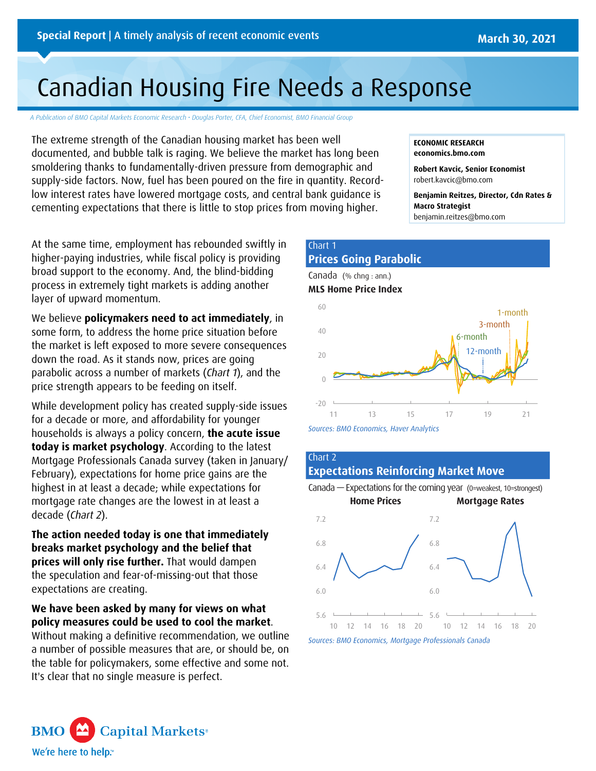# Canadian Housing Fire Needs a Response

*A Publication of BMO Capital Markets Economic Research • Douglas Porter, CFA, Chief Economist, BMO Financial Group*

The extreme strength of the Canadian housing market has been well documented, and bubble talk is raging. We believe the market has long been smoldering thanks to fundamentally-driven pressure from demographic and supply-side factors. Now, fuel has been poured on the fire in quantity. Recordlow interest rates have lowered mortgage costs, and central bank guidance is cementing expectations that there is little to stop prices from moving higher.

At the same time, employment has rebounded swiftly in higher-paying industries, while fiscal policy is providing broad support to the economy. And, the blind-bidding process in extremely tight markets is adding another layer of upward momentum.

We believe **policymakers need to act immediately**, in some form, to address the home price situation before the market is left exposed to more severe consequences down the road. As it stands now, prices are going parabolic across a number of markets (*Chart 1*), and the price strength appears to be feeding on itself.

While development policy has created supply-side issues for a decade or more, and affordability for younger households is always a policy concern, **the acute issue today is market psychology**. According to the latest Mortgage Professionals Canada survey (taken in January/ February), expectations for home price gains are the highest in at least a decade; while expectations for mortgage rate changes are the lowest in at least a decade (*Chart 2*).

**The action needed today is one that immediately breaks market psychology and the belief that prices will only rise further.** That would dampen the speculation and fear-of-missing-out that those expectations are creating.

**We have been asked by many for views on what policy measures could be used to cool the market**.

Without making a definitive recommendation, we outline a number of possible measures that are, or should be, on the table for policymakers, some effective and some not. It's clear that no single measure is perfect.

#### **ECONOMIC RESEARCH [economics.bmo.com](http://economics.bmo.com)**

**Robert Kavcic, Senior Economist** [robert.kavcic@bmo.com](mailto:robert.kavcic@bmo.com)

**Benjamin Reitzes, Director, Cdn Rates & Macro Strategist** [benjamin.reitzes@bmo.com](mailto:benjamin.reitzes@bmo.com)

# Chart 1 **Prices Going Parabolic**





*Sources: BMO Economics, Haver Analytics*

## Chart 2 **Expectations Reinforcing Market Move**



*Sources: BMO Economics, Mortgage Professionals Canada*

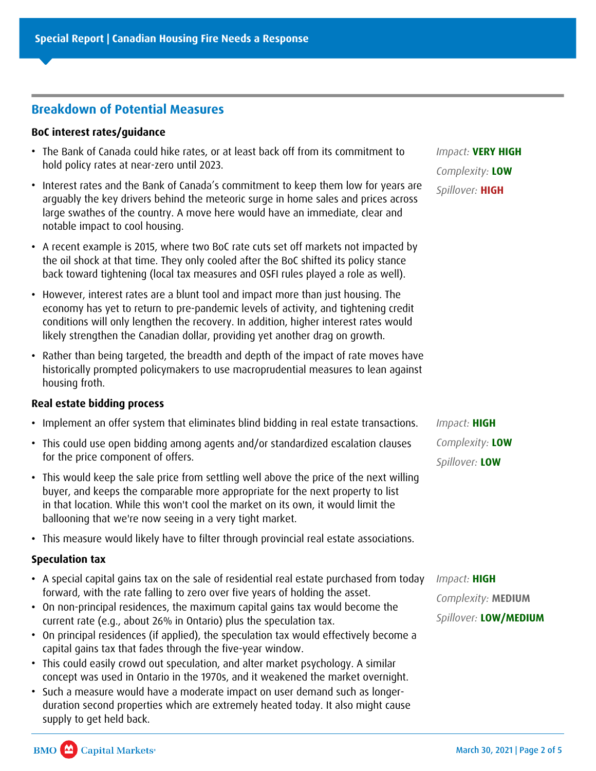# **Breakdown of Potential Measures**

# **BoC interest rates/guidance**

- The Bank of Canada could hike rates, or at least back off from its commitment to hold policy rates at near-zero until 2023.
- Interest rates and the Bank of Canada's commitment to keep them low for years are arguably the key drivers behind the meteoric surge in home sales and prices across large swathes of the country. A move here would have an immediate, clear and notable impact to cool housing.
- A recent example is 2015, where two BoC rate cuts set off markets not impacted by the oil shock at that time. They only cooled after the BoC shifted its policy stance back toward tightening (local tax measures and OSFI rules played a role as well).
- However, interest rates are a blunt tool and impact more than just housing. The economy has yet to return to pre-pandemic levels of activity, and tightening credit conditions will only lengthen the recovery. In addition, higher interest rates would likely strengthen the Canadian dollar, providing yet another drag on growth.
- Rather than being targeted, the breadth and depth of the impact of rate moves have historically prompted policymakers to use macroprudential measures to lean against housing froth.

# **Real estate bidding process**

- Implement an offer system that eliminates blind bidding in real estate transactions.
- This could use open bidding among agents and/or standardized escalation clauses for the price component of offers.
- This would keep the sale price from settling well above the price of the next willing buyer, and keeps the comparable more appropriate for the next property to list in that location. While this won't cool the market on its own, it would limit the ballooning that we're now seeing in a very tight market.
- This measure would likely have to filter through provincial real estate associations.

# **Speculation tax**

- A special capital gains tax on the sale of residential real estate purchased from today forward, with the rate falling to zero over five years of holding the asset.
- On non-principal residences, the maximum capital gains tax would become the current rate (e.g., about 26% in Ontario) plus the speculation tax.
- On principal residences (if applied), the speculation tax would effectively become a capital gains tax that fades through the five-year window.
- This could easily crowd out speculation, and alter market psychology. A similar concept was used in Ontario in the 1970s, and it weakened the market overnight.
- Such a measure would have a moderate impact on user demand such as longerduration second properties which are extremely heated today. It also might cause supply to get held back.

*Impact:* **VERY HIGH** *Complexity:* **LOW** *Spillover:* **HIGH**

*Impact:* **HIGH** *Complexity:* **LOW** *Spillover:* **LOW**

*Impact:* **HIGH** *Complexity:* **MEDIUM** *Spillover:* **LOW/MEDIUM**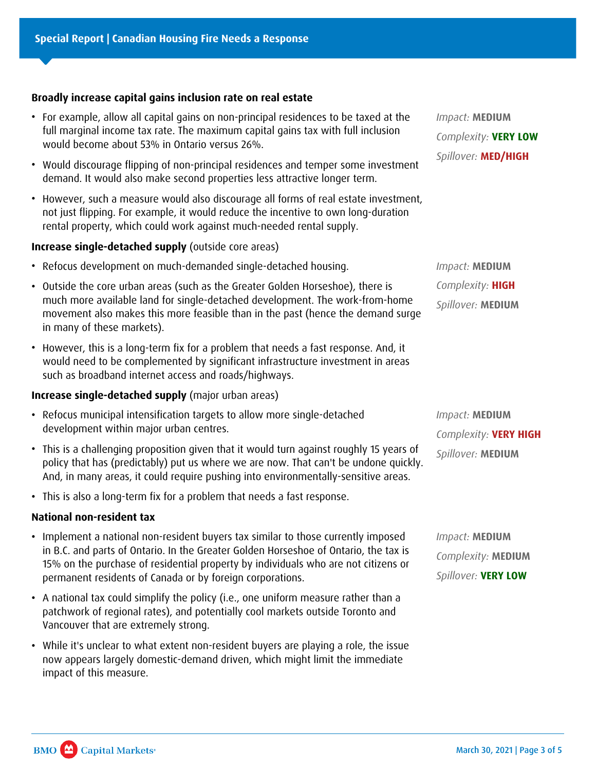#### **Broadly increase capital gains inclusion rate on real estate**

- For example, allow all capital gains on non-principal residences to be taxed at the full marginal income tax rate. The maximum capital gains tax with full inclusion would become about 53% in Ontario versus 26%.
- Would discourage flipping of non-principal residences and temper some investment demand. It would also make second properties less attractive longer term.
- However, such a measure would also discourage all forms of real estate investment, not just flipping. For example, it would reduce the incentive to own long-duration rental property, which could work against much-needed rental supply.

## **Increase single-detached supply** (outside core areas)

- Refocus development on much-demanded single-detached housing.
- Outside the core urban areas (such as the Greater Golden Horseshoe), there is much more available land for single-detached development. The work-from-home movement also makes this more feasible than in the past (hence the demand surge in many of these markets).
- However, this is a long-term fix for a problem that needs a fast response. And, it would need to be complemented by significant infrastructure investment in areas such as broadband internet access and roads/highways.

#### **Increase single-detached supply** (major urban areas)

- Refocus municipal intensification targets to allow more single-detached development within major urban centres.
- This is a challenging proposition given that it would turn against roughly 15 years of policy that has (predictably) put us where we are now. That can't be undone quickly. And, in many areas, it could require pushing into environmentally-sensitive areas.
- This is also a long-term fix for a problem that needs a fast response.

#### **National non-resident tax**

- Implement a national non-resident buyers tax similar to those currently imposed in B.C. and parts of Ontario. In the Greater Golden Horseshoe of Ontario, the tax is 15% on the purchase of residential property by individuals who are not citizens or permanent residents of Canada or by foreign corporations.
- A national tax could simplify the policy (i.e., one uniform measure rather than a patchwork of regional rates), and potentially cool markets outside Toronto and Vancouver that are extremely strong.
- While it's unclear to what extent non-resident buyers are playing a role, the issue now appears largely domestic-demand driven, which might limit the immediate impact of this measure.

*Impact:* **MEDIUM** *Complexity:* **VERY LOW** *Spillover:* **MED/HIGH**

*Impact:* **MEDIUM** *Complexity:* **HIGH** *Spillover:* **MEDIUM**

*Impact:* **MEDIUM** *Complexity:* **VERY HIGH** *Spillover:* **MEDIUM**

*Impact:* **MEDIUM** *Complexity:* **MEDIUM** *Spillover:* **VERY LOW**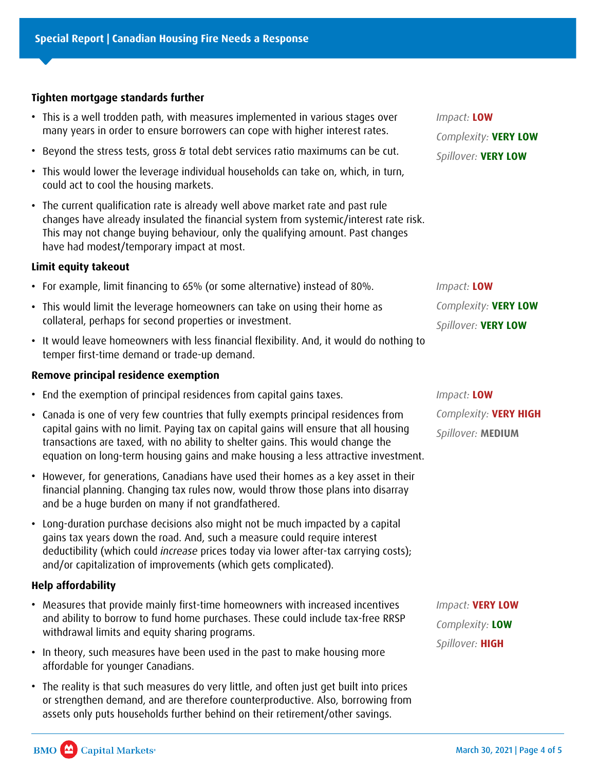# **Tighten mortgage standards further**

- This is a well trodden path, with measures implemented in various stages over many years in order to ensure borrowers can cope with higher interest rates.
- Beyond the stress tests, gross & total debt services ratio maximums can be cut.
- This would lower the leverage individual households can take on, which, in turn, could act to cool the housing markets.
- The current qualification rate is already well above market rate and past rule changes have already insulated the financial system from systemic/interest rate risk. This may not change buying behaviour, only the qualifying amount. Past changes have had modest/temporary impact at most.

## **Limit equity takeout**

- For example, limit financing to 65% (or some alternative) instead of 80%.
- This would limit the leverage homeowners can take on using their home as collateral, perhaps for second properties or investment.
- It would leave homeowners with less financial flexibility. And, it would do nothing to temper first-time demand or trade-up demand.

# **Remove principal residence exemption**

- End the exemption of principal residences from capital gains taxes.
- Canada is one of very few countries that fully exempts principal residences from capital gains with no limit. Paying tax on capital gains will ensure that all housing transactions are taxed, with no ability to shelter gains. This would change the equation on long-term housing gains and make housing a less attractive investment.
- However, for generations, Canadians have used their homes as a key asset in their financial planning. Changing tax rules now, would throw those plans into disarray and be a huge burden on many if not grandfathered.
- Long-duration purchase decisions also might not be much impacted by a capital gains tax years down the road. And, such a measure could require interest deductibility (which could *increase* prices today via lower after-tax carrying costs); and/or capitalization of improvements (which gets complicated).

# **Help affordability**

- Measures that provide mainly first-time homeowners with increased incentives and ability to borrow to fund home purchases. These could include tax-free RRSP withdrawal limits and equity sharing programs.
- In theory, such measures have been used in the past to make housing more affordable for younger Canadians.
- The reality is that such measures do very little, and often just get built into prices or strengthen demand, and are therefore counterproductive. Also, borrowing from assets only puts households further behind on their retirement/other savings.

*Impact:* **LOW** *Complexity:* **VERY LOW** *Spillover:* **VERY LOW**

*Impact:* **LOW** *Complexity:* **VERY LOW** *Spillover:* **VERY LOW**

*Impact:* **LOW** *Complexity:* **VERY HIGH** *Spillover:* **MEDIUM**

*Impact:* **VERY LOW** *Complexity:* **LOW** *Spillover:* **HIGH**